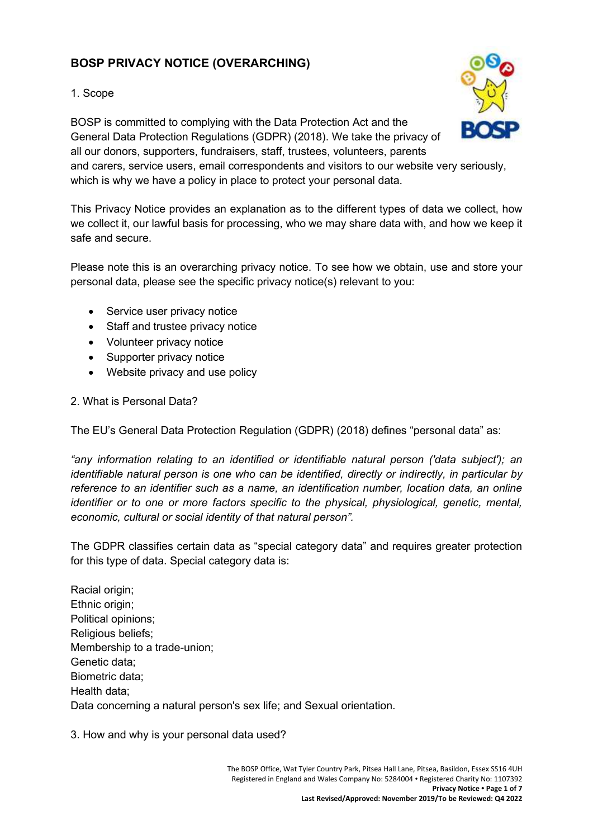# **BOSP PRIVACY NOTICE (OVERARCHING)**

#### 1. Scope

BOSP is committed to complying with the Data Protection Act and the General Data Protection Regulations (GDPR) (2018). We take the privacy of all our donors, supporters, fundraisers, staff, trustees, volunteers, parents and carers, service users, email correspondents and visitors to our website very seriously, which is why we have a policy in place to protect your personal data.

This Privacy Notice provides an explanation as to the different types of data we collect, how we collect it, our lawful basis for processing, who we may share data with, and how we keep it safe and secure.

Please note this is an overarching privacy notice. To see how we obtain, use and store your personal data, please see the specific privacy notice(s) relevant to you:

- Service user privacy notice
- Staff and trustee privacy notice
- Volunteer privacy notice
- Supporter privacy notice
- Website privacy and use policy

#### 2. What is Personal Data?

The EU's General Data Protection Regulation (GDPR) (2018) defines "personal data" as:

*"any information relating to an identified or identifiable natural person ('data subject'); an identifiable natural person is one who can be identified, directly or indirectly, in particular by reference to an identifier such as a name, an identification number, location data, an online identifier or to one or more factors specific to the physical, physiological, genetic, mental, economic, cultural or social identity of that natural person".*

The GDPR classifies certain data as "special category data" and requires greater protection for this type of data. Special category data is:

Racial origin; Ethnic origin; Political opinions; Religious beliefs; Membership to a trade-union; Genetic data; Biometric data; Health data; Data concerning a natural person's sex life; and Sexual orientation.

3. How and why is your personal data used?

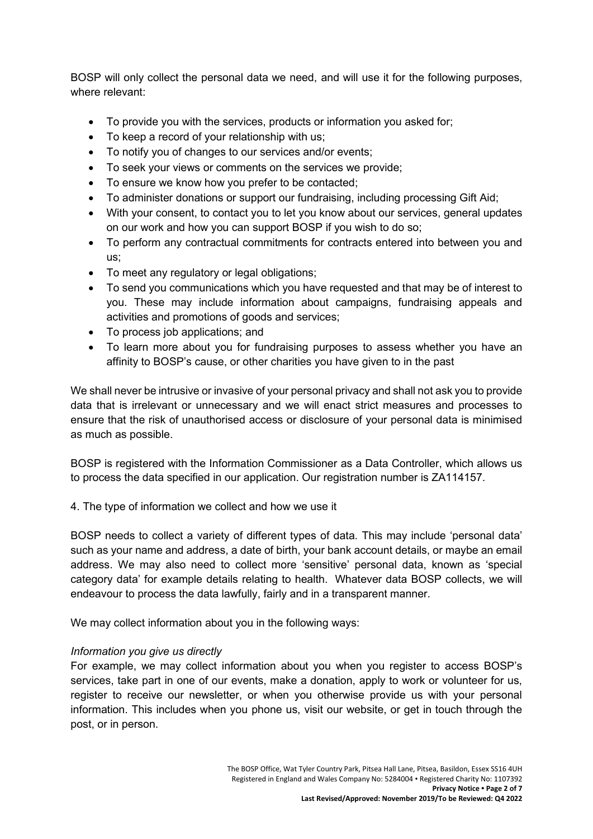BOSP will only collect the personal data we need, and will use it for the following purposes, where relevant:

- To provide you with the services, products or information you asked for;
- To keep a record of your relationship with us;
- To notify you of changes to our services and/or events;
- To seek your views or comments on the services we provide;
- To ensure we know how you prefer to be contacted;
- To administer donations or support our fundraising, including processing Gift Aid;
- With your consent, to contact you to let you know about our services, general updates on our work and how you can support BOSP if you wish to do so;
- To perform any contractual commitments for contracts entered into between you and us;
- To meet any regulatory or legal obligations;
- To send you communications which you have requested and that may be of interest to you. These may include information about campaigns, fundraising appeals and activities and promotions of goods and services;
- To process job applications; and
- To learn more about you for fundraising purposes to assess whether you have an affinity to BOSP's cause, or other charities you have given to in the past

We shall never be intrusive or invasive of your personal privacy and shall not ask you to provide data that is irrelevant or unnecessary and we will enact strict measures and processes to ensure that the risk of unauthorised access or disclosure of your personal data is minimised as much as possible.

BOSP is registered with the Information Commissioner as a Data Controller, which allows us to process the data specified in our application. Our registration number is ZA114157.

4. The type of information we collect and how we use it

BOSP needs to collect a variety of different types of data. This may include 'personal data' such as your name and address, a date of birth, your bank account details, or maybe an email address. We may also need to collect more 'sensitive' personal data, known as 'special category data' for example details relating to health. Whatever data BOSP collects, we will endeavour to process the data lawfully, fairly and in a transparent manner.

We may collect information about you in the following ways:

## *Information you give us directly*

For example, we may collect information about you when you register to access BOSP's services, take part in one of our events, make a donation, apply to work or volunteer for us, register to receive our newsletter, or when you otherwise provide us with your personal information. This includes when you phone us, visit our website, or get in touch through the post, or in person.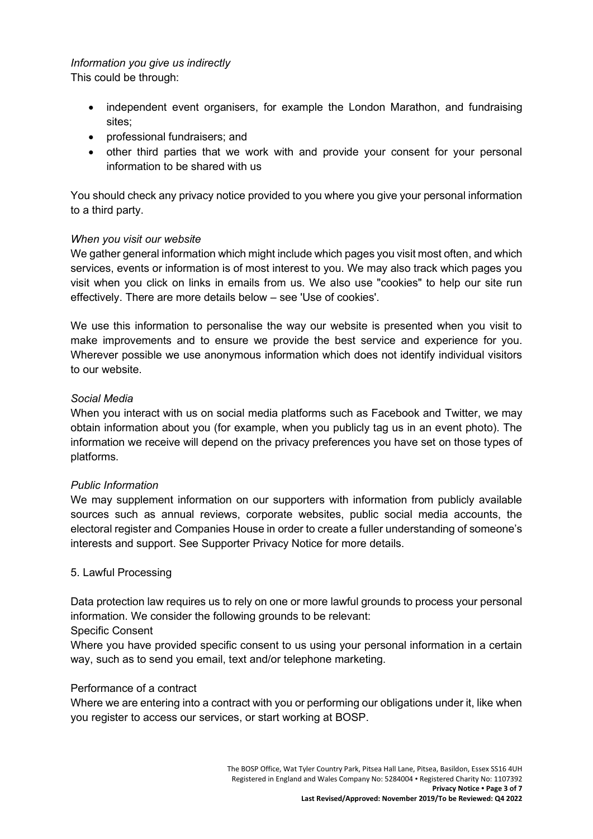## *Information you give us indirectly*

This could be through:

- independent event organisers, for example the London Marathon, and fundraising sites;
- professional fundraisers; and
- other third parties that we work with and provide your consent for your personal information to be shared with us

You should check any privacy notice provided to you where you give your personal information to a third party.

#### *When you visit our website*

We gather general information which might include which pages you visit most often, and which services, events or information is of most interest to you. We may also track which pages you visit when you click on links in emails from us. We also use "cookies" to help our site run effectively. There are more details below – see 'Use of cookies'.

We use this information to personalise the way our website is presented when you visit to make improvements and to ensure we provide the best service and experience for you. Wherever possible we use anonymous information which does not identify individual visitors to our website.

#### *Social Media*

When you interact with us on social media platforms such as Facebook and Twitter, we may obtain information about you (for example, when you publicly tag us in an event photo). The information we receive will depend on the privacy preferences you have set on those types of platforms.

#### *Public Information*

We may supplement information on our supporters with information from publicly available sources such as annual reviews, corporate websites, public social media accounts, the electoral register and Companies House in order to create a fuller understanding of someone's interests and support. See Supporter Privacy Notice for more details.

#### 5. Lawful Processing

Data protection law requires us to rely on one or more lawful grounds to process your personal information. We consider the following grounds to be relevant:

#### Specific Consent

Where you have provided specific consent to us using your personal information in a certain way, such as to send you email, text and/or telephone marketing.

#### Performance of a contract

Where we are entering into a contract with you or performing our obligations under it, like when you register to access our services, or start working at BOSP.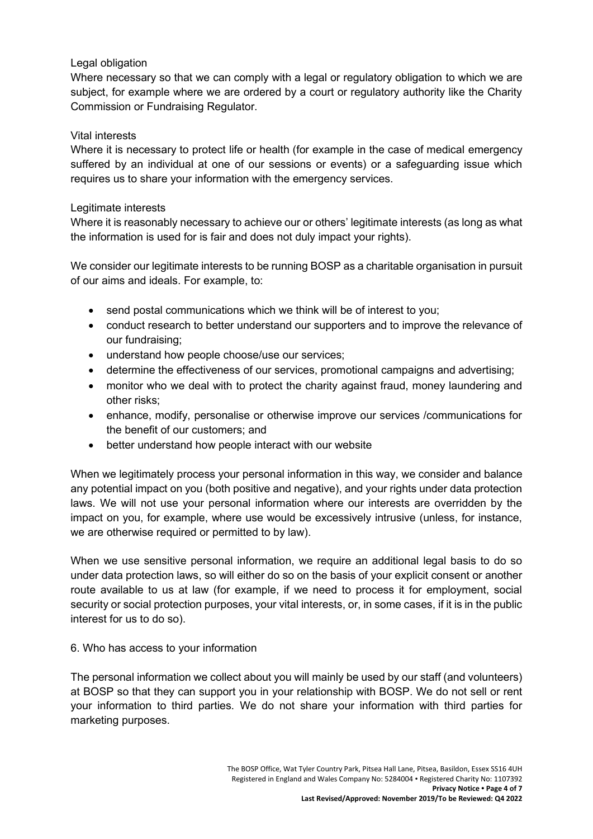#### Legal obligation

Where necessary so that we can comply with a legal or regulatory obligation to which we are subject, for example where we are ordered by a court or regulatory authority like the Charity Commission or Fundraising Regulator.

#### Vital interests

Where it is necessary to protect life or health (for example in the case of medical emergency suffered by an individual at one of our sessions or events) or a safeguarding issue which requires us to share your information with the emergency services.

#### Legitimate interests

Where it is reasonably necessary to achieve our or others' legitimate interests (as long as what the information is used for is fair and does not duly impact your rights).

We consider our legitimate interests to be running BOSP as a charitable organisation in pursuit of our aims and ideals. For example, to:

- send postal communications which we think will be of interest to you;
- conduct research to better understand our supporters and to improve the relevance of our fundraising;
- understand how people choose/use our services;
- determine the effectiveness of our services, promotional campaigns and advertising;
- monitor who we deal with to protect the charity against fraud, money laundering and other risks;
- enhance, modify, personalise or otherwise improve our services /communications for the benefit of our customers; and
- better understand how people interact with our website

When we legitimately process your personal information in this way, we consider and balance any potential impact on you (both positive and negative), and your rights under data protection laws. We will not use your personal information where our interests are overridden by the impact on you, for example, where use would be excessively intrusive (unless, for instance, we are otherwise required or permitted to by law).

When we use sensitive personal information, we require an additional legal basis to do so under data protection laws, so will either do so on the basis of your explicit consent or another route available to us at law (for example, if we need to process it for employment, social security or social protection purposes, your vital interests, or, in some cases, if it is in the public interest for us to do so).

## 6. Who has access to your information

The personal information we collect about you will mainly be used by our staff (and volunteers) at BOSP so that they can support you in your relationship with BOSP. We do not sell or rent your information to third parties. We do not share your information with third parties for marketing purposes.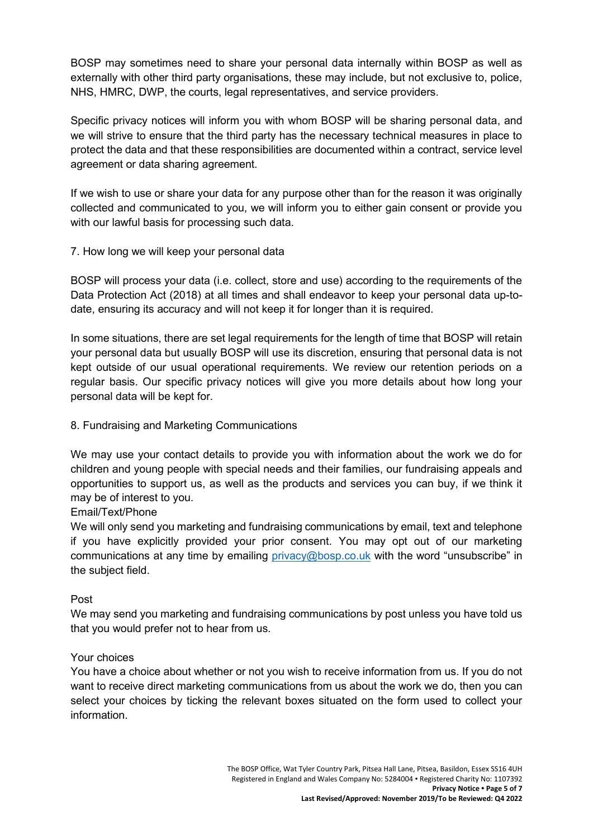BOSP may sometimes need to share your personal data internally within BOSP as well as externally with other third party organisations, these may include, but not exclusive to, police, NHS, HMRC, DWP, the courts, legal representatives, and service providers.

Specific privacy notices will inform you with whom BOSP will be sharing personal data, and we will strive to ensure that the third party has the necessary technical measures in place to protect the data and that these responsibilities are documented within a contract, service level agreement or data sharing agreement.

If we wish to use or share your data for any purpose other than for the reason it was originally collected and communicated to you, we will inform you to either gain consent or provide you with our lawful basis for processing such data.

#### 7. How long we will keep your personal data

BOSP will process your data (i.e. collect, store and use) according to the requirements of the Data Protection Act (2018) at all times and shall endeavor to keep your personal data up-todate, ensuring its accuracy and will not keep it for longer than it is required.

In some situations, there are set legal requirements for the length of time that BOSP will retain your personal data but usually BOSP will use its discretion, ensuring that personal data is not kept outside of our usual operational requirements. We review our retention periods on a regular basis. Our specific privacy notices will give you more details about how long your personal data will be kept for.

### 8. Fundraising and Marketing Communications

We may use your contact details to provide you with information about the work we do for children and young people with special needs and their families, our fundraising appeals and opportunities to support us, as well as the products and services you can buy, if we think it may be of interest to you.

#### Email/Text/Phone

We will only send you marketing and fundraising communications by email, text and telephone if you have explicitly provided your prior consent. You may opt out of our marketing communications at any time by emailing [privacy@bosp.co.uk](mailto:privacy@bosp.co.uk) with the word "unsubscribe" in the subject field.

#### Post

We may send you marketing and fundraising communications by post unless you have told us that you would prefer not to hear from us.

#### Your choices

You have a choice about whether or not you wish to receive information from us. If you do not want to receive direct marketing communications from us about the work we do, then you can select your choices by ticking the relevant boxes situated on the form used to collect your information.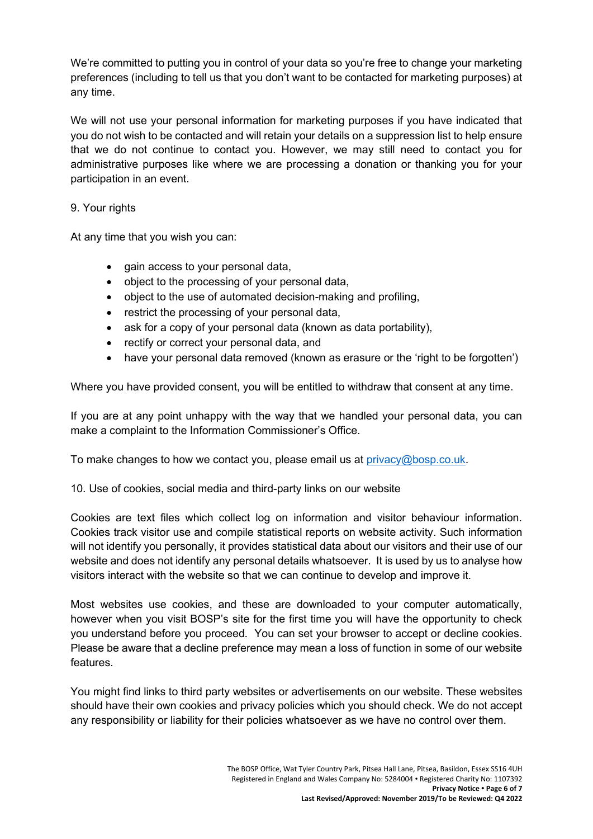We're committed to putting you in control of your data so you're free to change your marketing preferences (including to tell us that you don't want to be contacted for marketing purposes) at any time.

We will not use your personal information for marketing purposes if you have indicated that you do not wish to be contacted and will retain your details on a suppression list to help ensure that we do not continue to contact you. However, we may still need to contact you for administrative purposes like where we are processing a donation or thanking you for your participation in an event.

#### 9. Your rights

At any time that you wish you can:

- gain access to your personal data,
- object to the processing of your personal data,
- object to the use of automated decision-making and profiling,
- restrict the processing of your personal data,
- ask for a copy of your personal data (known as data portability),
- rectify or correct your personal data, and
- have your personal data removed (known as erasure or the 'right to be forgotten')

Where you have provided consent, you will be entitled to withdraw that consent at any time.

If you are at any point unhappy with the way that we handled your personal data, you can make a complaint to the Information Commissioner's Office.

To make changes to how we contact you, please email us at [privacy@bosp.co.uk.](mailto:privacy@bosp.co.uk)

10. Use of cookies, social media and third-party links on our website

Cookies are text files which collect log on information and visitor behaviour information. Cookies track visitor use and compile statistical reports on website activity. Such information will not identify you personally, it provides statistical data about our visitors and their use of our website and does not identify any personal details whatsoever. It is used by us to analyse how visitors interact with the website so that we can continue to develop and improve it.

Most websites use cookies, and these are downloaded to your computer automatically, however when you visit BOSP's site for the first time you will have the opportunity to check you understand before you proceed. You can set your browser to accept or decline cookies. Please be aware that a decline preference may mean a loss of function in some of our website features.

You might find links to third party websites or advertisements on our website. These websites should have their own cookies and privacy policies which you should check. We do not accept any responsibility or liability for their policies whatsoever as we have no control over them.